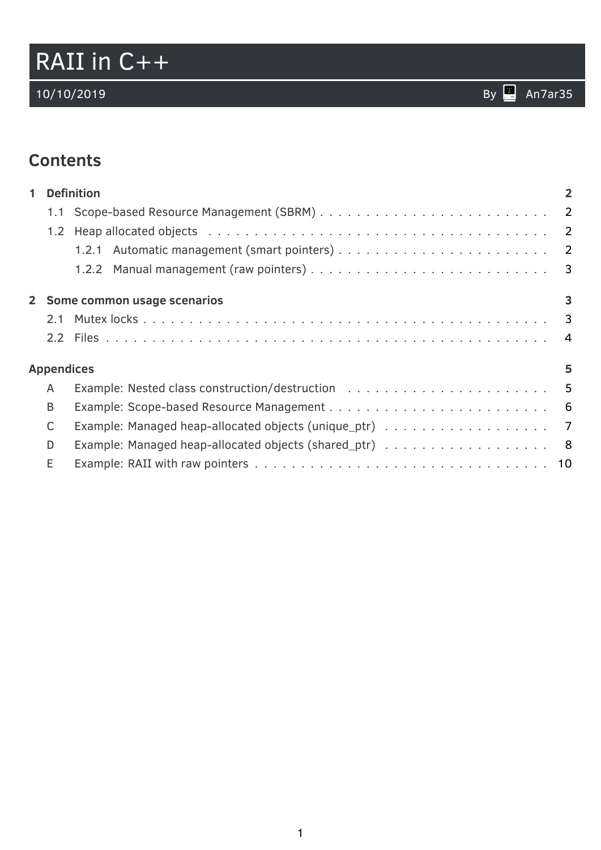# RAII in C++

# **Contents**

| $\blacksquare$ |                        | <b>Definition</b>             | $\overline{2}$ |  |  |
|----------------|------------------------|-------------------------------|----------------|--|--|
|                |                        |                               |                |  |  |
|                |                        |                               |                |  |  |
|                |                        |                               |                |  |  |
|                |                        |                               |                |  |  |
|                |                        | 2 Some common usage scenarios | 3              |  |  |
|                |                        |                               |                |  |  |
|                |                        |                               |                |  |  |
|                | <b>Appendices</b><br>5 |                               |                |  |  |
|                | A                      |                               |                |  |  |
|                | B                      |                               |                |  |  |
|                | C                      |                               |                |  |  |
|                | D                      |                               |                |  |  |
|                | E                      |                               |                |  |  |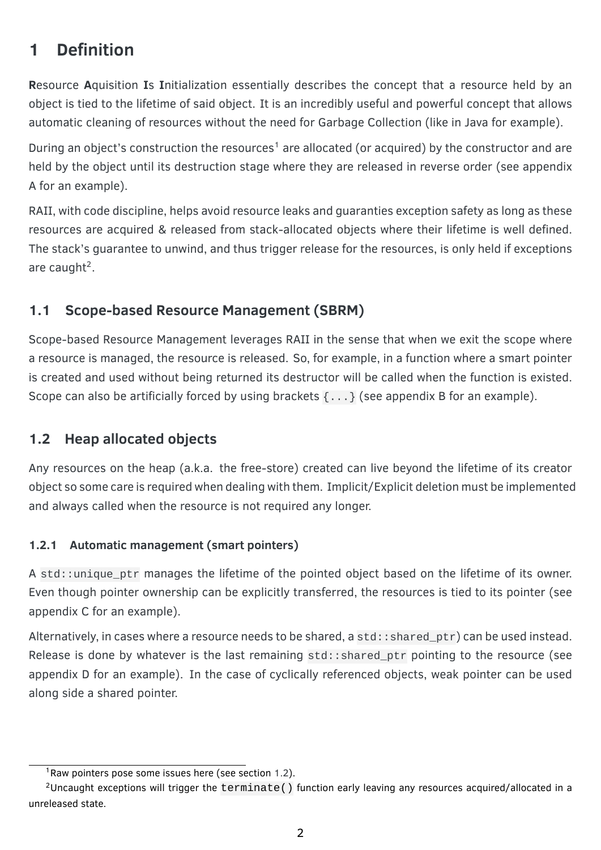# <span id="page-1-0"></span>**1 Definition**

**R**esource **A**quisition **I**s **I**nitialization essentially describes the concept that a resource held by an object is tied to the lifetime of said object. It is an incredibly useful and powerful concept that allows automatic cleaning of resources without the need for Garbage Collection (like in Java for example).

During an object's construction the resources<sup>[1](#page-1-4)</sup> are allocated (or acquired) by the constructor and are held by the object until its destruction stage where they are released in reverse order (see appendix [A](#page-4-1) for an example).

RAII, with code discipline, helps avoid resource leaks and guaranties exception safety as long as these resources are acquired & released from stack-allocated objects where their lifetime is well defined. The stack's guarantee to unwind, and thus trigger release for the resources, is only held if exceptions are caught<sup>[2](#page-1-5)</sup>.

## <span id="page-1-1"></span>**1.1 Scope-based Resource Management (SBRM)**

Scope-based Resource Management leverages RAII in the sense that when we exit the scope where a resource is managed, the resource is released. So, for example, in a function where a smart pointer is created and used without being returned its destructor will be called when the function is existed. Scope can also be artificially forced by using brackets  $\{ \ldots \}$  (see appendix [B](#page-5-0) for an example).

## <span id="page-1-2"></span>**1.2 Heap allocated objects**

Any resources on the heap (a.k.a. the free-store) created can live beyond the lifetime of its creator object so some care is required when dealing with them. Implicit/Explicit deletion must be implemented and always called when the resource is not required any longer.

## <span id="page-1-3"></span>**1.2.1 Automatic management (smart pointers)**

A std::unique\_ptr manages the lifetime of the pointed object based on the lifetime of its owner. Even though pointer ownership can be explicitly transferred, the resources is tied to its pointer (see appendix [C](#page-6-0) for an example).

Alternatively, in cases where a resource needs to be shared, a std::shared\_ptr) can be used instead. Release is done by whatever is the last remaining std::shared\_ptr pointing to the resource (see appendix [D](#page-7-0) for an example). In the case of cyclically referenced objects, weak pointer can be used along side a shared pointer.

<span id="page-1-5"></span><span id="page-1-4"></span><sup>&</sup>lt;sup>1</sup>Raw pointers pose some issues here (see section [1.2\)](#page-1-2).

<sup>&</sup>lt;sup>2</sup>Uncaught exceptions will trigger the  $\text{terminate}()$  function early leaving any resources acquired/allocated in a unreleased state.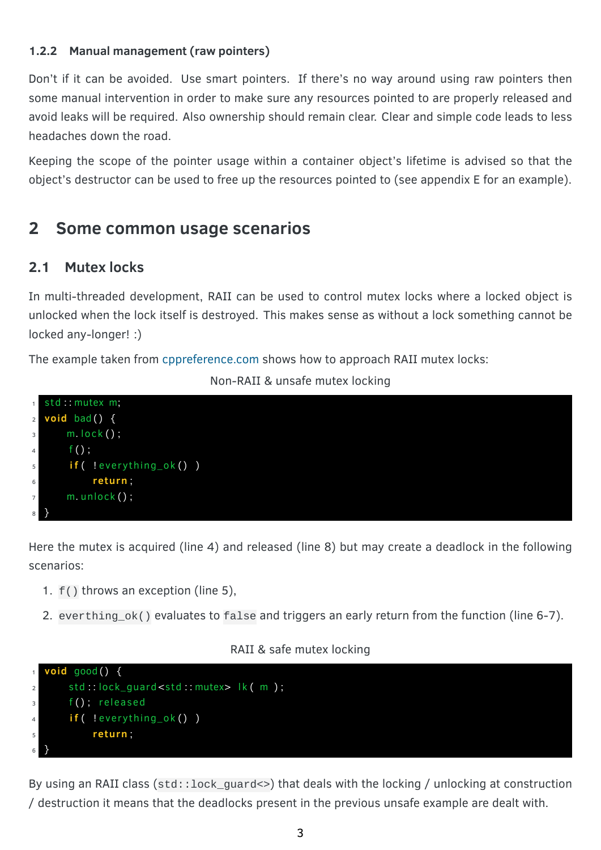#### <span id="page-2-0"></span>**1.2.2 Manual management (raw pointers)**

Don't if it can be avoided. Use smart pointers. If there's no way around using raw pointers then some manual intervention in order to make sure any resources pointed to are properly released and avoid leaks will be required. Also ownership should remain clear. Clear and simple code leads to less headaches down the road.

Keeping the scope of the pointer usage within a container object's lifetime is advised so that the object's destructor can be used to free up the resources pointed to (see appendix [E](#page-9-0) for an example).

## <span id="page-2-1"></span>**2 Some common usage scenarios**

## <span id="page-2-2"></span>**2.1 Mutex locks**

In multi-threaded development, RAII can be used to control mutex locks where a locked object is unlocked when the lock itself is destroyed. This makes sense as without a lock something cannot be locked any-longer! :)

The example taken from [cppreference.com](https://en.cppreference.com/w/cpp/language/raii) shows how to approach RAII mutex locks:

#### Non-RAII & unsafe mutex locking



Here the mutex is acquired (line 4) and released (line 8) but may create a deadlock in the following scenarios:

- 1. f() throws an exception (line 5),
- 2. everthing\_ok() evaluates to false and triggers an early return from the function (line 6-7).

#### RAII & safe mutex locking



By using an RAII class (std::lock\_guard<>) that deals with the locking / unlocking at construction / destruction it means that the deadlocks present in the previous unsafe example are dealt with.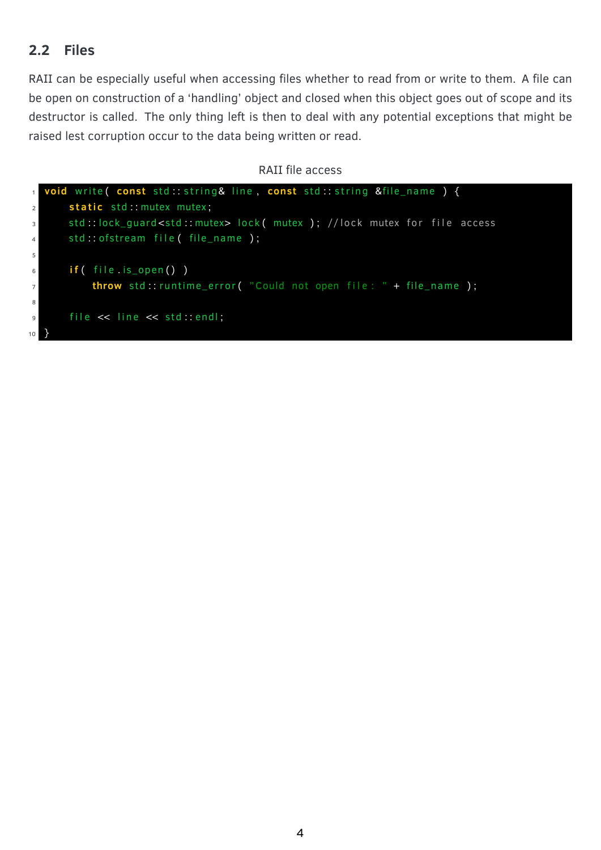## <span id="page-3-0"></span>**2.2 Files**

RAII can be especially useful when accessing files whether to read from or write to them. A file can be open on construction of a 'handling' object and closed when this object goes out of scope and its destructor is called. The only thing left is then to deal with any potential exceptions that might be raised lest corruption occur to the data being written or read.

#### RAII file access

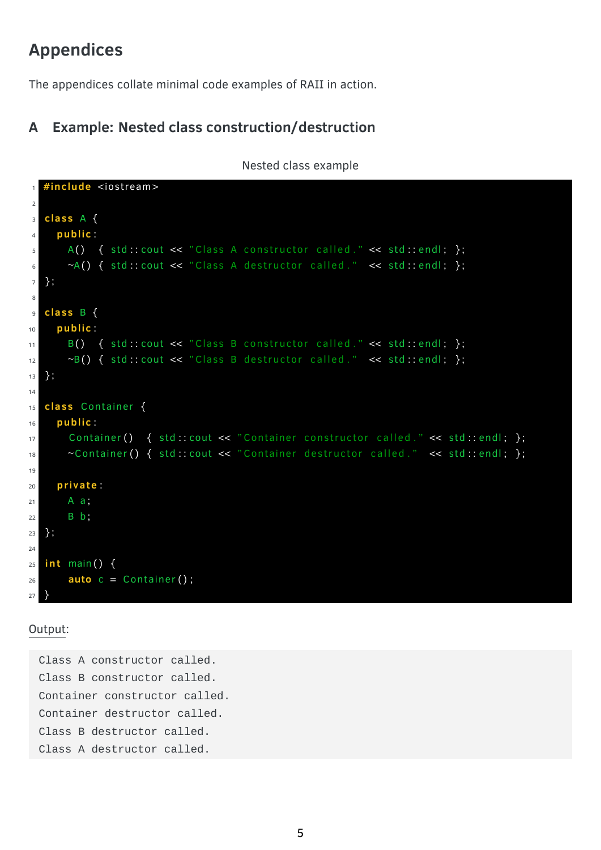# <span id="page-4-0"></span>**Appendices**

The appendices collate minimal code examples of RAII in action.

## <span id="page-4-1"></span>**A Example: Nested class construction/destruction**

Nested class example

```
1 #include <iostream>
2
3 cla s s A {
4 public:
5 A( ) { std::cout << "Class A constructor called." << std::endl; };
6 \sim A() { std::cout << "Class A destructor called." << std::endl; };
7 } ;
8
9 cla s s B {
10 public:
\text{11 } B() { std:: cout << "Class B constructor called." << std:: endl; };
\simB() { std::cout << "Class B destructor called." << std::endl; };
13 } ;
14
15 class Container {
16 public:
17 Container () { std:: cout << "Container constructor called." << std:: endl; };
18 ~Container () { std : cout << "Container destructor called ." << std : endl; };
19
20 private:
21 A a;
22 B b;
23 } ;
24
25 i n t main ( ) {
26 auto c = Container ();
27 }
```
Output:

Class A constructor called. Class B constructor called. Container constructor called. Container destructor called. Class B destructor called. Class A destructor called.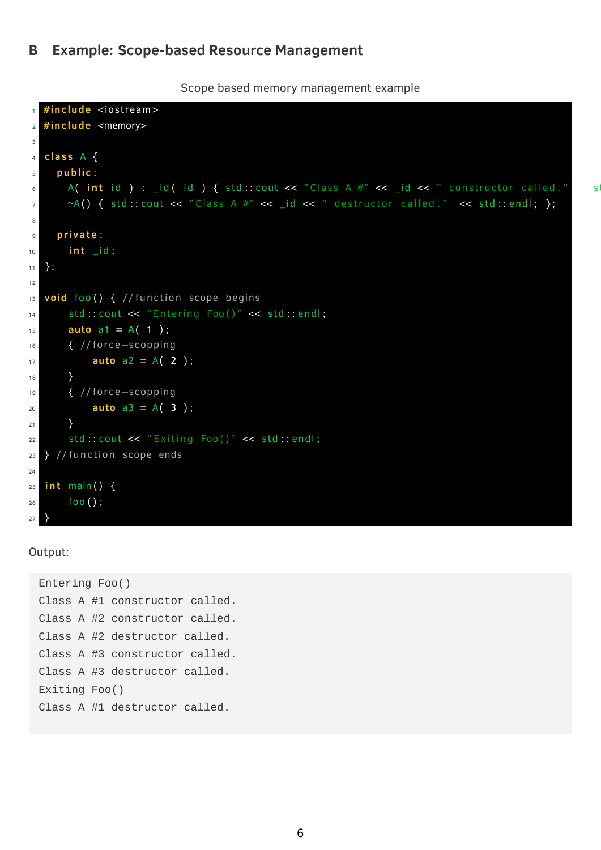#### <span id="page-5-0"></span>**B Example: Scope-based Resource Management**

Scope based memory management example

```
1 #include <iostream>
2 #include <memory>
3
4 cla s s A {
5 publi c :
6 A( int id ) : _id( id ) { std :: cout << "Class A #" << _id << " constructor called ." s
7 \sim A() { std :: cout << "Class A #" << _id << " destructor called." << std :: endl; };
8
9 private:
10 int _id;
11 } ;
12
13 void foo () { // function scope begins
14 std : cout << "Entering Foo()" << std : : endl;
15 auto a1 = A(1);
16 { // fo rce−scopping
17 auto a2 = A( 2 ) ;
18 }
19 { // fo rce−scopping
20 auto a3 = A( 3 ) ;
21 }
22 std:: cout << "Exiting Foo()" << std:: endl;
23 } // function scope ends
24
25 i n t main ( ) {
26 foo ( ) ;
27 }
```
#### Output:

```
Entering Foo()
Class A #1 constructor called.
Class A #2 constructor called.
Class A #2 destructor called.
Class A #3 constructor called.
Class A #3 destructor called.
Exiting Foo()
Class A #1 destructor called.
```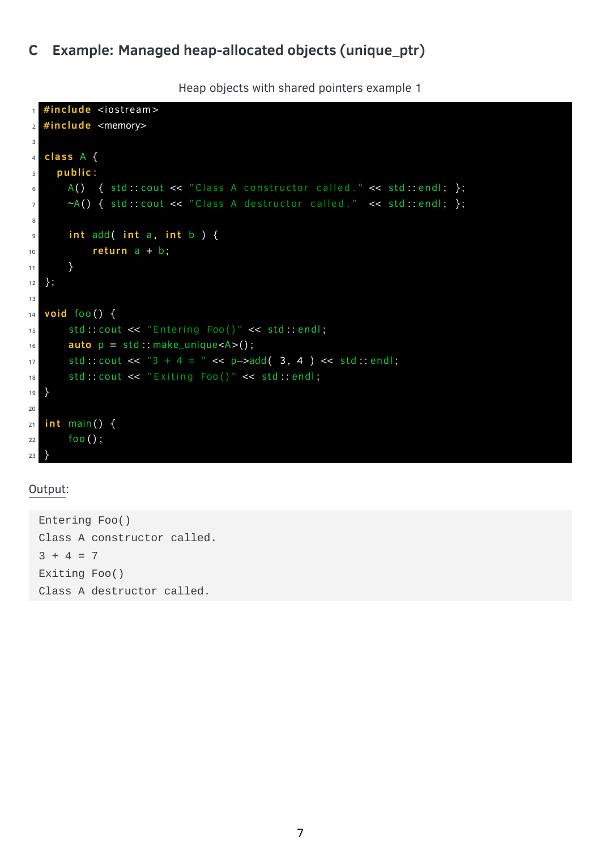Heap objects with shared pointers example 1

```
#include <iostream>
\mathbf{1}#include <memory>
\overline{2}\overline{3}class A {
\overline{4}public:
\overline{5}A() { std::cout << "Class A constructor called." << std::endl; };
\,6\,~A() { std: cout << "Class A destructor called." << std: endl; };
\overline{7}\,8\,int add( int a, int b ) \{\overline{9}return a + b;
10\}11\};
1213void foo() \{14std::cout << "Entering Foo()" << std::endl;
15\,auto p = std: make\_unique < A > ();
16std::cout << "3 + 4 = " << p->add(3, 4) << std::endl;
17std: cout << "Exiting Foo()" << std: endl;
18
   \}19
20
   int main() {
21foo();
22
23
   \mathcal{E}
```
#### Output:

Entering Foo() Class A constructor called.  $3 + 4 = 7$ Exiting Foo() Class A destructor called.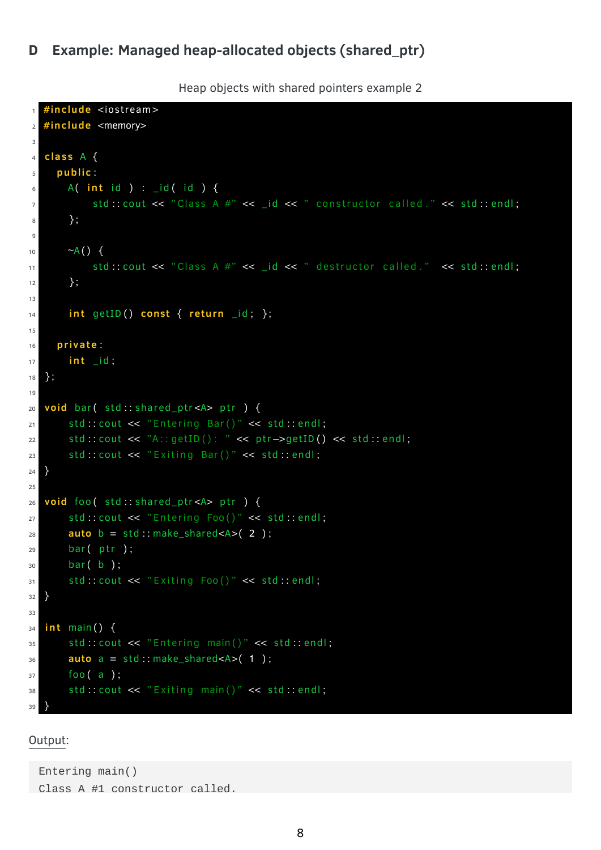Heap objects with shared pointers example 2

```
#include <iostream>
\mathbf{1}#include <memory>
\overline{2}\overline{3}class A {
\overline{4}public:
\overline{5}A( int id ) : _id( id ) {
\, 6 \,std::cout << "Class A #" << _id << " constructor called." << std::endl;
\overline{7}\}8
\overline{9}\neg A() {
10std::cout << "Class A #" << _id << " destructor called." << std::endl;
11\};
1213int getID() const { return _id; };1415private:
16
       int _id;
17\};
18
19void bar( std: shared_ptr<A> ptr ) {
20
       std::cout << "Entering Bar()" << std::endl;
21std::cout << "A::getID(): " << ptr->getID() << std::endl;
22std: cout << "Exiting Bar()" << std:: endl;
23\}24
25void foo( std: shared_ptr<A> ptr ) {
26
       std::cout << "Entering Foo()" << std::endl;
27auto b = std::make\_shared < A>(2);28
       bar( ptr );29
       bar( b );
30std: cout << "Exiting Foo()" << std::endl;
3132
   \mathcal{F}33
   int main() {
34
       std: cout << "Entering main()" << std: endl;
35auto a = std::make\_shared < A > (1);36foo(a);
37
       std::cout << "Exiting main()" << std::endl;
38
39
```
#### Output:

```
Entering main()Class A #1 constructor called.
```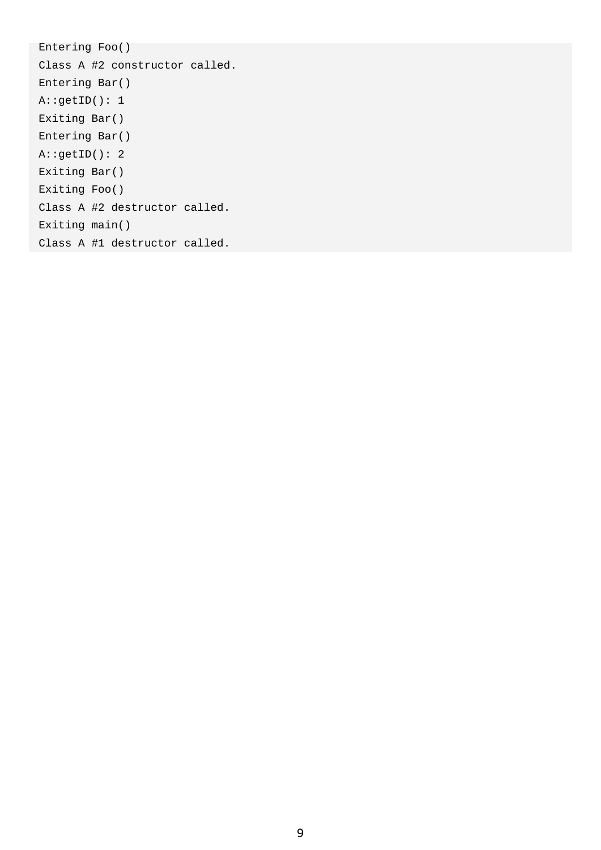Entering Foo() Class A #2 constructor called. Entering Bar() A::getID(): 1 Exiting Bar() Entering Bar() A::getID(): 2 Exiting Bar() Exiting Foo() Class A #2 destructor called. Exiting main() Class A #1 destructor called.